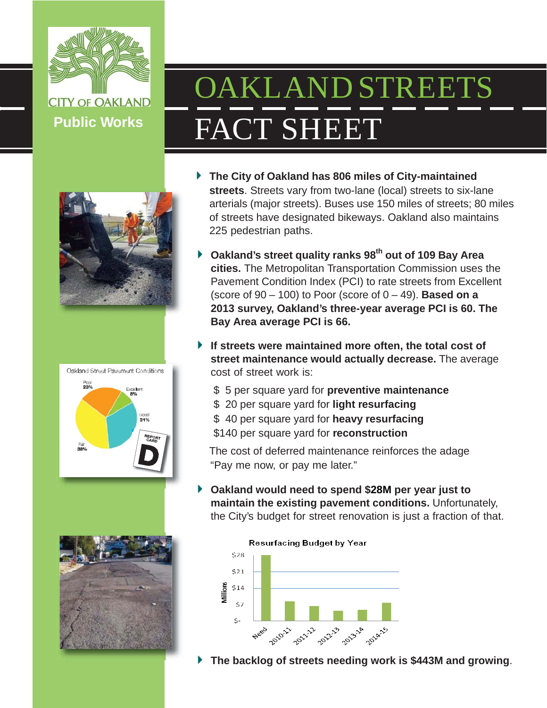

# OAKLAND STREETS FACT SHEET







- **The City of Oakland has 806 miles of City-maintained streets**. Streets vary from two-lane (local) streets to six-lane arterials (major streets). Buses use 150 miles of streets; 80 miles of streets have designated bikeways. Oakland also maintains 225 pedestrian paths.
- **Oakland's street quality ranks 98th out of 109 Bay Area cities.** The Metropolitan Transportation Commission uses the Pavement Condition Index (PCI) to rate streets from Excellent (score of  $90 - 100$ ) to Poor (score of  $0 - 49$ ). **Based on a 2013 survey, Oakland's three-year average PCI is 60. The Bay Area average PCI is 66.**
- **If streets were maintained more often, the total cost of street maintenance would actually decrease.** The average cost of street work is:
	- \$ 5 per square yard for **preventive maintenance**
	- \$ 20 per square yard for **light resurfacing**
	- \$ 40 per square yard for **heavy resurfacing**
	- \$140 per square yard for **reconstruction**

The cost of deferred maintenance reinforces the adage "Pay me now, or pay me later."

**Oakland would need to spend \$28M per year just to maintain the existing pavement conditions.** Unfortunately, the City's budget for street renovation is just a fraction of that.



**The backlog of streets needing work is \$443M and growing**.

# **Resurfacing Budget by Year**